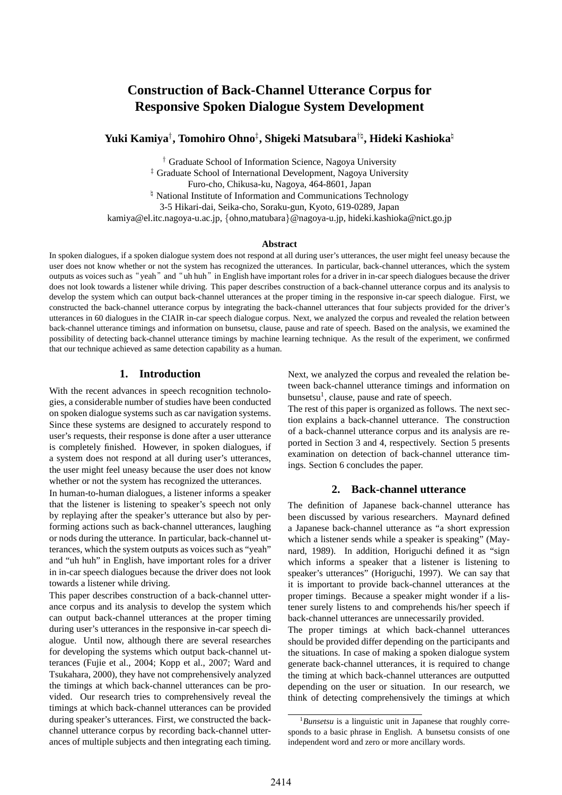# **Construction of Back-Channel Utterance Corpus for Responsive Spoken Dialogue System Development**

**Yuki Kamiya***†* **, Tomohiro Ohno***‡* **, Shigeki Matsubara***†♮* **, Hideki Kashioka***♮*

*†* Graduate School of Information Science, Nagoya University *‡* Graduate School of International Development, Nagoya University Furo-cho, Chikusa-ku, Nagoya, 464-8601, Japan *♮* National Institute of Information and Communications Technology 3-5 Hikari-dai, Seika-cho, Soraku-gun, Kyoto, 619-0289, Japan kamiya@el.itc.nagoya-u.ac.jp, *{*ohno,matubara*}*@nagoya-u.jp, hideki.kashioka@nict.go.jp

#### **Abstract**

In spoken dialogues, if a spoken dialogue system does not respond at all during user's utterances, the user might feel uneasy because the user does not know whether or not the system has recognized the utterances. In particular, back-channel utterances, which the system outputs as voices such as "yeah" and "uh huh" in English have important roles for a driver in in-car speech dialogues because the driver does not look towards a listener while driving. This paper describes construction of a back-channel utterance corpus and its analysis to develop the system which can output back-channel utterances at the proper timing in the responsive in-car speech dialogue. First, we constructed the back-channel utterance corpus by integrating the back-channel utterances that four subjects provided for the driver's utterances in 60 dialogues in the CIAIR in-car speech dialogue corpus. Next, we analyzed the corpus and revealed the relation between back-channel utterance timings and information on bunsetsu, clause, pause and rate of speech. Based on the analysis, we examined the possibility of detecting back-channel utterance timings by machine learning technique. As the result of the experiment, we confirmed that our technique achieved as same detection capability as a human.

### **1. Introduction**

With the recent advances in speech recognition technologies, a considerable number of studies have been conducted on spoken dialogue systems such as car navigation systems. Since these systems are designed to accurately respond to user's requests, their response is done after a user utterance is completely finished. However, in spoken dialogues, if a system does not respond at all during user's utterances, the user might feel uneasy because the user does not know whether or not the system has recognized the utterances.

In human-to-human dialogues, a listener informs a speaker that the listener is listening to speaker's speech not only by replaying after the speaker's utterance but also by performing actions such as back-channel utterances, laughing or nods during the utterance. In particular, back-channel utterances, which the system outputs as voices such as "yeah" and "uh huh" in English, have important roles for a driver in in-car speech dialogues because the driver does not look towards a listener while driving.

This paper describes construction of a back-channel utterance corpus and its analysis to develop the system which can output back-channel utterances at the proper timing during user's utterances in the responsive in-car speech dialogue. Until now, although there are several researches for developing the systems which output back-channel utterances (Fujie et al., 2004; Kopp et al., 2007; Ward and Tsukahara, 2000), they have not comprehensively analyzed the timings at which back-channel utterances can be provided. Our research tries to comprehensively reveal the timings at which back-channel utterances can be provided during speaker's utterances. First, we constructed the backchannel utterance corpus by recording back-channel utterances of multiple subjects and then integrating each timing. Next, we analyzed the corpus and revealed the relation between back-channel utterance timings and information on bunsetsu<sup>1</sup>, clause, pause and rate of speech.

The rest of this paper is organized as follows. The next section explains a back-channel utterance. The construction of a back-channel utterance corpus and its analysis are reported in Section 3 and 4, respectively. Section 5 presents examination on detection of back-channel utterance timings. Section 6 concludes the paper.

### **2. Back-channel utterance**

The definition of Japanese back-channel utterance has been discussed by various researchers. Maynard defined a Japanese back-channel utterance as "a short expression which a listener sends while a speaker is speaking" (Maynard, 1989). In addition, Horiguchi defined it as "sign which informs a speaker that a listener is listening to speaker's utterances" (Horiguchi, 1997). We can say that it is important to provide back-channel utterances at the proper timings. Because a speaker might wonder if a listener surely listens to and comprehends his/her speech if back-channel utterances are unnecessarily provided.

The proper timings at which back-channel utterances should be provided differ depending on the participants and the situations. In case of making a spoken dialogue system generate back-channel utterances, it is required to change the timing at which back-channel utterances are outputted depending on the user or situation. In our research, we think of detecting comprehensively the timings at which

<sup>1</sup>*Bunsetsu* is a linguistic unit in Japanese that roughly corresponds to a basic phrase in English. A bunsetsu consists of one independent word and zero or more ancillary words.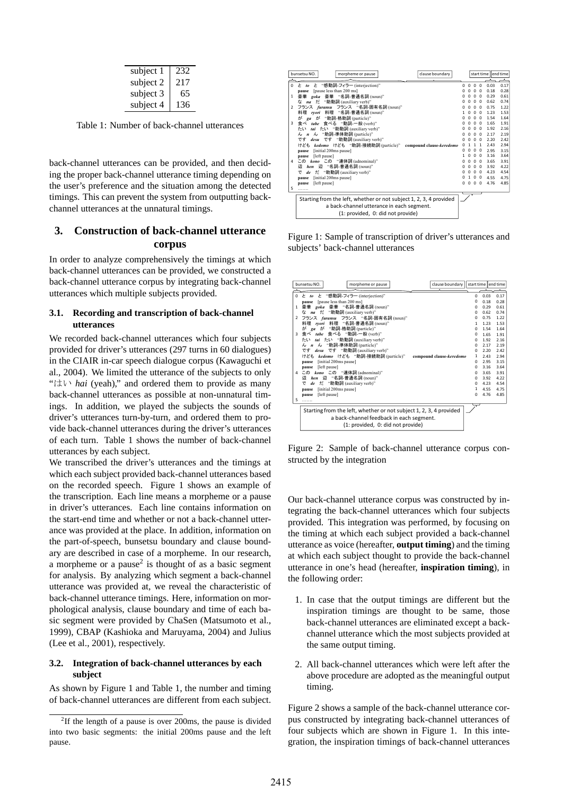| subject 1 | 232 |
|-----------|-----|
| subject 2 | 217 |
| subject 3 | 65  |
| subject 4 | 136 |

Table 1: Number of back-channel utterances

back-channel utterances can be provided, and then deciding the proper back-channel utterance timing depending on the user's preference and the situation among the detected timings. This can prevent the system from outputting backchannel utterances at the unnatural timings.

# **3. Construction of back-channel utterance corpus**

In order to analyze comprehensively the timings at which back-channel utterances can be provided, we constructed a back-channel utterance corpus by integrating back-channel utterances which multiple subjects provided.

### **3.1. Recording and transcription of back-channel utterances**

We recorded back-channel utterances which four subjects provided for driver's utterances (297 turns in 60 dialogues) in the CIAIR in-car speech dialogue corpus (Kawaguchi et al., 2004). We limited the utterance of the subjects to only "はい *hai* (yeah)," and ordered them to provide as many back-channel utterances as possible at non-unnatural timings. In addition, we played the subjects the sounds of driver's utterances turn-by-turn, and ordered them to provide back-channel utterances during the driver's utterances of each turn. Table 1 shows the number of back-channel utterances by each subject.

We transcribed the driver's utterances and the timings at which each subject provided back-channel utterances based on the recorded speech. Figure 1 shows an example of the transcription. Each line means a morpheme or a pause in driver's utterances. Each line contains information on the start-end time and whether or not a back-channel utterance was provided at the place. In addition, information on the part-of-speech, bunsetsu boundary and clause boundary are described in case of a morpheme. In our research, a morpheme or a pause<sup>2</sup> is thought of as a basic segment for analysis. By analyzing which segment a back-channel utterance was provided at, we reveal the characteristic of back-channel utterance timings. Here, information on morphological analysis, clause boundary and time of each basic segment were provided by ChaSen (Matsumoto et al., 1999), CBAP (Kashioka and Maruyama, 2004) and Julius (Lee et al., 2001), respectively.

#### **3.2. Integration of back-channel utterances by each subject**

As shown by Figure 1 and Table 1, the number and timing of back-channel utterances are different from each subject.



Figure 1: Sample of transcription of driver's utterances and subjects' back-channel utterances

|               | clause boundary<br>bunsetsu NO.<br>morpheme or pause                                                                                                |          |      | start time end time |
|---------------|-----------------------------------------------------------------------------------------------------------------------------------------------------|----------|------|---------------------|
| $\Omega$      | と "感動詞-フィラー (interjection)"<br>$\geq$ to                                                                                                            | $\Omega$ | 0.03 | 0.17                |
|               | [pause less than 200 ms]<br>pause                                                                                                                   | o        | 0.18 | 0.28                |
| 1             | 豪華<br><i>goka</i> 豪華 "名詞-普通名詞 (noun)"                                                                                                               | o        | 0.29 | 0.61                |
|               | na tž<br>"助動詞 (auxiliary verb)"<br>な                                                                                                                | O        | 0.62 | 0.74                |
| $\mathcal{P}$ | フランス furansu フランス "名詞-固有名詞 (noun)"                                                                                                                  | $\Omega$ | 0.75 | 1.22                |
|               | 料理 ryori 料理 "名詞-普通名詞 (noun)"                                                                                                                        | 1        | 1.23 | 1.53                |
|               | が<br>が<br>"助詞-格助詞 (particle)"<br>ga                                                                                                                 | $\Omega$ | 1.54 | 1.64                |
| 3             | 食べ tabe 食べる "動詞-一般 (verb)"                                                                                                                          | $\Omega$ | 1.65 | 1.91                |
|               | tai たい "助動詞 (auxiliary verb)"<br>たい                                                                                                                 | $\Omega$ | 1.92 | 2.16                |
|               | ん n ん "助詞-準体助詞 (particle)"                                                                                                                          | $\Omega$ | 2.17 | 2.19                |
|               | です desu です "助動詞 (auxiliary verb)"                                                                                                                   | $\Omega$ | 2.20 | 7.47                |
|               | けども kedomo けども "助詞-接続助詞 (particle)"<br>compound clause-keredomo                                                                                     | 1        | 2.43 | 2.94                |
|               | [initial 200ms pause]<br>pause                                                                                                                      | $\Omega$ | 2.95 | 3.15                |
|               | [left pause]<br>pause                                                                                                                               | $\Omega$ | 3.16 | 3.64                |
| 4             | この kono この "連体詞 (adnominal)"                                                                                                                        | $\Omega$ | 3.65 | 3.91                |
|               | hen 辺 "名詞-普通名詞 (noun)"<br>辺                                                                                                                         | $\Omega$ | 3.92 | 4.22                |
|               | だ "助動詞 (auxiliary verb)"<br>で<br>de                                                                                                                 | $\Omega$ | 4.23 | 4.54                |
|               | [initial 200ms pause]<br>pause                                                                                                                      | 1        | 4.55 | 4.75                |
|               | [left pause]<br>pause                                                                                                                               | $\Omega$ | 4.76 | 4.85                |
| 5             |                                                                                                                                                     |          |      |                     |
|               | Starting from the left, whether or not subject 1, 2, 3, 4 provided<br>a back-channel feedback in each segment.<br>(1: provided, 0: did not provide) |          |      |                     |

Figure 2: Sample of back-channel utterance corpus constructed by the integration

Our back-channel utterance corpus was constructed by integrating the back-channel utterances which four subjects provided. This integration was performed, by focusing on the timing at which each subject provided a back-channel utterance as voice (hereafter, **output timing**) and the timing at which each subject thought to provide the back-channel utterance in one's head (hereafter, **inspiration timing**), in the following order:

- 1. In case that the output timings are different but the inspiration timings are thought to be same, those back-channel utterances are eliminated except a backchannel utterance which the most subjects provided at the same output timing.
- 2. All back-channel utterances which were left after the above procedure are adopted as the meaningful output timing.

Figure 2 shows a sample of the back-channel utterance corpus constructed by integrating back-channel utterances of four subjects which are shown in Figure 1. In this integration, the inspiration timings of back-channel utterances

<sup>&</sup>lt;sup>2</sup>If the length of a pause is over 200ms, the pause is divided into two basic segments: the initial 200ms pause and the left pause.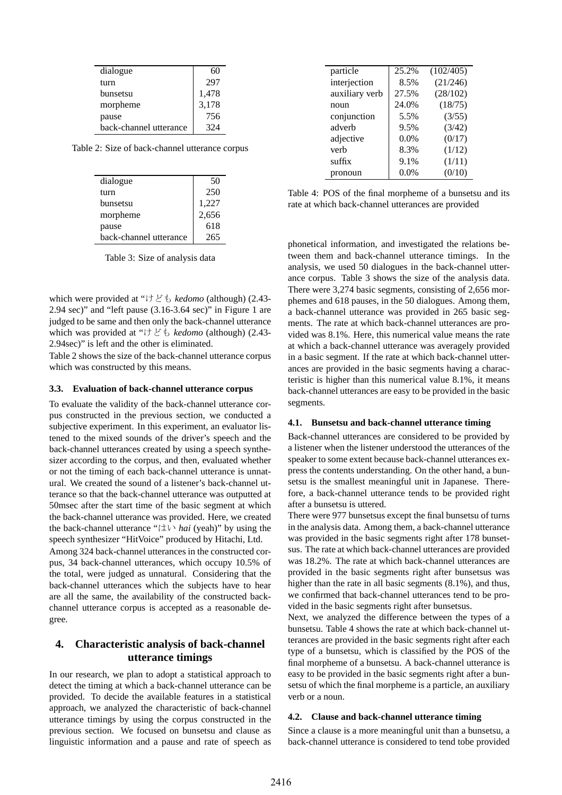| dialogue               | 60    |
|------------------------|-------|
| turn                   | 297   |
| bunsetsu               | 1,478 |
| morpheme               | 3,178 |
| pause                  | 756   |
| back-channel utterance | 324   |

Table 2: Size of back-channel utterance corpus

| dialogue               | 50    |
|------------------------|-------|
| turn                   | 250   |
| bunsetsu               | 1,227 |
| morpheme               | 2,656 |
| pause                  | 618   |
| back-channel utterance | 265   |

Table 3: Size of analysis data

which were provided at "けども *kedomo* (although) (2.43- 2.94 sec)" and "left pause (3.16-3.64 sec)" in Figure 1 are judged to be same and then only the back-channel utterance which was provided at "けども *kedomo* (although) (2.43- 2.94sec)" is left and the other is eliminated.

Table 2 shows the size of the back-channel utterance corpus which was constructed by this means.

#### **3.3. Evaluation of back-channel utterance corpus**

To evaluate the validity of the back-channel utterance corpus constructed in the previous section, we conducted a subjective experiment. In this experiment, an evaluator listened to the mixed sounds of the driver's speech and the back-channel utterances created by using a speech synthesizer according to the corpus, and then, evaluated whether or not the timing of each back-channel utterance is unnatural. We created the sound of a listener's back-channel utterance so that the back-channel utterance was outputted at 50msec after the start time of the basic segment at which the back-channel utterance was provided. Here, we created the back-channel utterance "はい *hai* (yeah)" by using the speech synthesizer "HitVoice" produced by Hitachi, Ltd.

Among 324 back-channel utterances in the constructed corpus, 34 back-channel utterances, which occupy 10.5% of the total, were judged as unnatural. Considering that the back-channel utterances which the subjects have to hear are all the same, the availability of the constructed backchannel utterance corpus is accepted as a reasonable degree.

# **4. Characteristic analysis of back-channel utterance timings**

In our research, we plan to adopt a statistical approach to detect the timing at which a back-channel utterance can be provided. To decide the available features in a statistical approach, we analyzed the characteristic of back-channel utterance timings by using the corpus constructed in the previous section. We focused on bunsetsu and clause as linguistic information and a pause and rate of speech as

| particle       | 25.2%   | (102/405) |
|----------------|---------|-----------|
| interjection   | 8.5%    | (21/246)  |
| auxiliary verb | 27.5%   | (28/102)  |
| noun           | 24.0%   | (18/75)   |
| conjunction    | 5.5%    | (3/55)    |
| adverb         | 9.5%    | (3/42)    |
| adjective      | 0.0%    | (0/17)    |
| verb           | 8.3%    | (1/12)    |
| suffix         | 9.1%    | (1/11)    |
| pronoun        | $0.0\%$ | (0/10)    |
|                |         |           |

Table 4: POS of the final morpheme of a bunsetsu and its rate at which back-channel utterances are provided

phonetical information, and investigated the relations between them and back-channel utterance timings. In the analysis, we used 50 dialogues in the back-channel utterance corpus. Table 3 shows the size of the analysis data. There were 3,274 basic segments, consisting of 2,656 morphemes and 618 pauses, in the 50 dialogues. Among them, a back-channel utterance was provided in 265 basic segments. The rate at which back-channel utterances are provided was 8.1%. Here, this numerical value means the rate at which a back-channel utterance was averagely provided in a basic segment. If the rate at which back-channel utterances are provided in the basic segments having a characteristic is higher than this numerical value 8.1%, it means back-channel utterances are easy to be provided in the basic segments.

#### **4.1. Bunsetsu and back-channel utterance timing**

Back-channel utterances are considered to be provided by a listener when the listener understood the utterances of the speaker to some extent because back-channel utterances express the contents understanding. On the other hand, a bunsetsu is the smallest meaningful unit in Japanese. Therefore, a back-channel utterance tends to be provided right after a bunsetsu is uttered.

There were 977 bunsetsus except the final bunsetsu of turns in the analysis data. Among them, a back-channel utterance was provided in the basic segments right after 178 bunsetsus. The rate at which back-channel utterances are provided was 18.2%. The rate at which back-channel utterances are provided in the basic segments right after bunsetsus was higher than the rate in all basic segments (8.1%), and thus, we confirmed that back-channel utterances tend to be provided in the basic segments right after bunsetsus.

Next, we analyzed the difference between the types of a bunsetsu. Table 4 shows the rate at which back-channel utterances are provided in the basic segments right after each type of a bunsetsu, which is classified by the POS of the final morpheme of a bunsetsu. A back-channel utterance is easy to be provided in the basic segments right after a bunsetsu of which the final morpheme is a particle, an auxiliary verb or a noun.

#### **4.2. Clause and back-channel utterance timing**

Since a clause is a more meaningful unit than a bunsetsu, a back-channel utterance is considered to tend tobe provided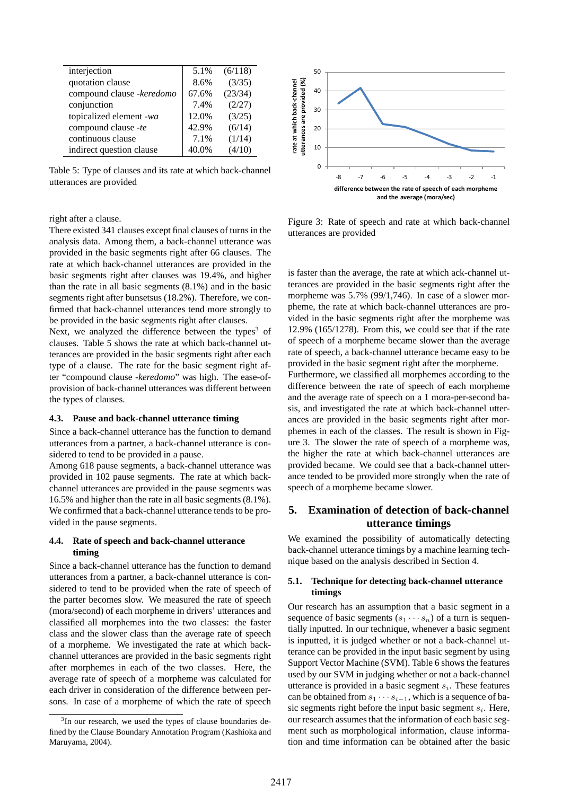| interjection              | 5.1%  | (6/118) |
|---------------------------|-------|---------|
| quotation clause          | 8.6%  | (3/35)  |
| compound clause -keredomo | 67.6% | (23/34) |
| conjunction               | 7.4%  | (2/27)  |
| topicalized element -wa   | 12.0% | (3/25)  |
| compound clause -te       | 42.9% | (6/14)  |
| continuous clause         | 7.1%  | (1/14)  |
| indirect question clause  | 40.0% | (4/10)  |

Table 5: Type of clauses and its rate at which back-channel utterances are provided

# utterances are provided (%) rate at which back-channel utterances are provided (%) rate at which back-channel 40 30  $20$ 10 0 -8 -7 -6 -5 -4 -3 -2 -1 difference between the rate of speech of each morpheme and the average (mora/sec)

50

right after a clause.

There existed 341 clauses except final clauses of turns in the analysis data. Among them, a back-channel utterance was provided in the basic segments right after 66 clauses. The rate at which back-channel utterances are provided in the basic segments right after clauses was 19.4%, and higher than the rate in all basic segments (8.1%) and in the basic segments right after bunsetsus (18.2%). Therefore, we confirmed that back-channel utterances tend more strongly to be provided in the basic segments right after clauses.

Next, we analyzed the difference between the types<sup>3</sup> of clauses. Table 5 shows the rate at which back-channel utterances are provided in the basic segments right after each type of a clause. The rate for the basic segment right after "compound clause *-keredomo*" was high. The ease-ofprovision of back-channel utterances was different between the types of clauses.

#### **4.3. Pause and back-channel utterance timing**

Since a back-channel utterance has the function to demand utterances from a partner, a back-channel utterance is considered to tend to be provided in a pause.

Among 618 pause segments, a back-channel utterance was provided in 102 pause segments. The rate at which backchannel utterances are provided in the pause segments was 16.5% and higher than the rate in all basic segments (8.1%). We confirmed that a back-channel utterance tends to be provided in the pause segments.

### **4.4. Rate of speech and back-channel utterance timing**

Since a back-channel utterance has the function to demand utterances from a partner, a back-channel utterance is considered to tend to be provided when the rate of speech of the parter becomes slow. We measured the rate of speech (mora/second) of each morpheme in drivers' utterances and classified all morphemes into the two classes: the faster class and the slower class than the average rate of speech of a morpheme. We investigated the rate at which backchannel utterances are provided in the basic segments right after morphemes in each of the two classes. Here, the average rate of speech of a morpheme was calculated for each driver in consideration of the difference between persons. In case of a morpheme of which the rate of speech

Figure 3: Rate of speech and rate at which back-channel utterances are provided

is faster than the average, the rate at which ack-channel utterances are provided in the basic segments right after the morpheme was 5.7% (99/1,746). In case of a slower morpheme, the rate at which back-channel utterances are provided in the basic segments right after the morpheme was 12.9% (165/1278). From this, we could see that if the rate of speech of a morpheme became slower than the average rate of speech, a back-channel utterance became easy to be provided in the basic segment right after the morpheme. Furthermore, we classified all morphemes according to the difference between the rate of speech of each morpheme and the average rate of speech on a 1 mora-per-second ba-

sis, and investigated the rate at which back-channel utterances are provided in the basic segments right after morphemes in each of the classes. The result is shown in Figure 3. The slower the rate of speech of a morpheme was, the higher the rate at which back-channel utterances are provided became. We could see that a back-channel utterance tended to be provided more strongly when the rate of speech of a morpheme became slower.

# **5. Examination of detection of back-channel utterance timings**

We examined the possibility of automatically detecting back-channel utterance timings by a machine learning technique based on the analysis described in Section 4.

# **5.1. Technique for detecting back-channel utterance timings**

Our research has an assumption that a basic segment in a sequence of basic segments  $(s_1 \cdots s_n)$  of a turn is sequentially inputted. In our technique, whenever a basic segment is inputted, it is judged whether or not a back-channel utterance can be provided in the input basic segment by using Support Vector Machine (SVM). Table 6 shows the features used by our SVM in judging whether or not a back-channel utterance is provided in a basic segment *s<sup>i</sup>* . These features can be obtained from  $s_1 \cdots s_{i-1}$ , which is a sequence of basic segments right before the input basic segment *s<sup>i</sup>* . Here, our research assumes that the information of each basic segment such as morphological information, clause information and time information can be obtained after the basic

 $3$ In our research, we used the types of clause boundaries defined by the Clause Boundary Annotation Program (Kashioka and Maruyama, 2004).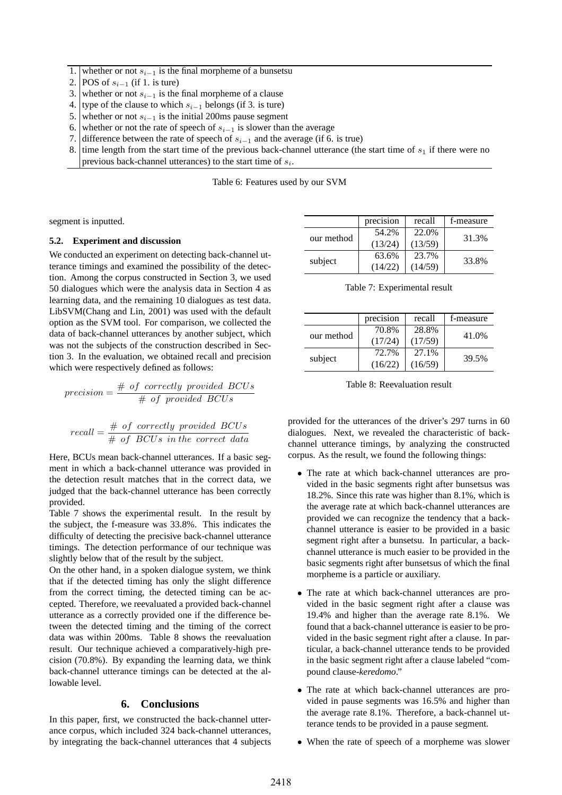1. whether or not *s<sup>i</sup>−*<sup>1</sup> is the final morpheme of a bunsetsu

- 2. **POS** of *s*<sub>*i*−1</sub> (if 1. is ture)
- 3. whether or not *s<sup>i</sup>−*<sup>1</sup> is the final morpheme of a clause
- 4. type of the clause to which  $s_{i-1}$  belongs (if 3. is ture) 5. whether or not  $s_{i-1}$  is the initial 200ms pause segment
- 5. whether or not  $s_{i-1}$  is the initial 200ms pause segment 6. whether or not the rate of speech of  $s_{i-1}$  is slower than
- 6. whether or not the rate of speech of  $s_{i-1}$  is slower than the average 7. difference between the rate of speech of  $s_{i-1}$  and the average (if 6.
- 7. difference between the rate of speech of  $s_{i-1}$  and the average (if 6. is true) 8. time length from the start time of the previous back-channel utterance (the
- time length from the start time of the previous back-channel utterance (the start time of  $s_1$  if there were no previous back-channel utterances) to the start time of *s<sup>i</sup>* .

Table 6: Features used by our SVM

segment is inputted.

#### **5.2. Experiment and discussion**

We conducted an experiment on detecting back-channel utterance timings and examined the possibility of the detection. Among the corpus constructed in Section 3, we used 50 dialogues which were the analysis data in Section 4 as learning data, and the remaining 10 dialogues as test data. LibSVM(Chang and Lin, 2001) was used with the default option as the SVM tool. For comparison, we collected the data of back-channel utterances by another subject, which was not the subjects of the construction described in Section 3. In the evaluation, we obtained recall and precision which were respectively defined as follows:

*precision* = # *of correctly provided BCUs* # *of provided BCUs*

$$
recall = \frac{\# \ of \ correctly \ provided \ BCUs}{\# \ of \ BCUs \ in \ the \ correct \ data}
$$

Here, BCUs mean back-channel utterances. If a basic segment in which a back-channel utterance was provided in the detection result matches that in the correct data, we judged that the back-channel utterance has been correctly provided.

Table 7 shows the experimental result. In the result by the subject, the f-measure was 33.8%. This indicates the difficulty of detecting the precisive back-channel utterance timings. The detection performance of our technique was slightly below that of the result by the subject.

On the other hand, in a spoken dialogue system, we think that if the detected timing has only the slight difference from the correct timing, the detected timing can be accepted. Therefore, we reevaluated a provided back-channel utterance as a correctly provided one if the difference between the detected timing and the timing of the correct data was within 200ms. Table 8 shows the reevaluation result. Our technique achieved a comparatively-high precision (70.8%). By expanding the learning data, we think back-channel utterance timings can be detected at the allowable level.

#### **6. Conclusions**

In this paper, first, we constructed the back-channel utterance corpus, which included 324 back-channel utterances, by integrating the back-channel utterances that 4 subjects

|            | precision | recall  | f-measure |  |
|------------|-----------|---------|-----------|--|
| our method | 54.2%     | 22.0%   | 31.3%     |  |
|            | (13/24)   | (13/59) |           |  |
| subject    | 63.6%     | 23.7%   | 33.8%     |  |
|            | (14/22)   | (14/59) |           |  |

Table 7: Experimental result

|            | precision | recall  | f-measure |  |
|------------|-----------|---------|-----------|--|
| our method | 70.8%     | 28.8%   | 41.0%     |  |
|            | (17/24)   | (17/59) |           |  |
| subject    | 72.7%     | 27.1%   | 39.5%     |  |
|            | (16/22)   | (16/59) |           |  |

Table 8: Reevaluation result

provided for the utterances of the driver's 297 turns in 60 dialogues. Next, we revealed the characteristic of backchannel utterance timings, by analyzing the constructed corpus. As the result, we found the following things:

- *•* The rate at which back-channel utterances are provided in the basic segments right after bunsetsus was 18.2%. Since this rate was higher than 8.1%, which is the average rate at which back-channel utterances are provided we can recognize the tendency that a backchannel utterance is easier to be provided in a basic segment right after a bunsetsu. In particular, a backchannel utterance is much easier to be provided in the basic segments right after bunsetsus of which the final morpheme is a particle or auxiliary.
- *•* The rate at which back-channel utterances are provided in the basic segment right after a clause was 19.4% and higher than the average rate 8.1%. We found that a back-channel utterance is easier to be provided in the basic segment right after a clause. In particular, a back-channel utterance tends to be provided in the basic segment right after a clause labeled "compound clause-*keredomo*."
- *•* The rate at which back-channel utterances are provided in pause segments was 16.5% and higher than the average rate 8.1%. Therefore, a back-channel utterance tends to be provided in a pause segment.
- *•* When the rate of speech of a morpheme was slower